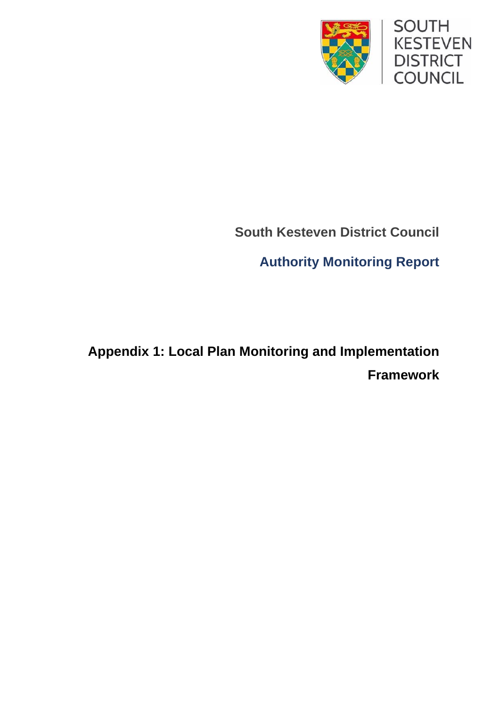

## **South Kesteven District Council**

**Authority Monitoring Report**

**Appendix 1: Local Plan Monitoring and Implementation Framework**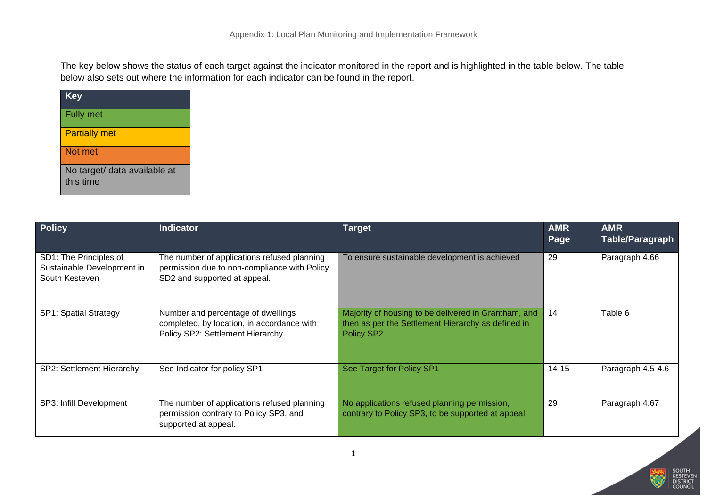The key below shows the status of each target against the indicator monitored in the report and is highlighted in the table below. The table below also sets out where the information for each indicator can be found in the report.

| <b>Key</b>                                |
|-------------------------------------------|
| Fully met                                 |
| <b>Partially met</b>                      |
| Not met                                   |
| No target/ data available at<br>this time |

| <b>Policy</b>                                                          | <b>Indicator</b>                                                                                                            | Target                                                                                                                    | <b>AMR</b><br>Page | <b>AMR</b><br>Table/Paragraph |
|------------------------------------------------------------------------|-----------------------------------------------------------------------------------------------------------------------------|---------------------------------------------------------------------------------------------------------------------------|--------------------|-------------------------------|
| SD1: The Principles of<br>Sustainable Development in<br>South Kesteven | The number of applications refused planning<br>permission due to non-compliance with Policy<br>SD2 and supported at appeal. | To ensure sustainable development is achieved                                                                             | 29                 | Paragraph 4.66                |
| <b>SP1: Spatial Strategy</b>                                           | Number and percentage of dwellings<br>completed, by location, in accordance with<br>Policy SP2: Settlement Hierarchy.       | Majority of housing to be delivered in Grantham, and<br>then as per the Settlement Hierarchy as defined in<br>Policy SP2. | 14                 | Table 6                       |
| SP2: Settlement Hierarchy                                              | See Indicator for policy SP1                                                                                                | See Target for Policy SP1                                                                                                 | $14 - 15$          | Paragraph 4.5-4.6             |
| SP3: Infill Development                                                | The number of applications refused planning<br>permission contrary to Policy SP3, and<br>supported at appeal.               | No applications refused planning permission,<br>contrary to Policy SP3, to be supported at appeal.                        | 29                 | Paragraph 4.67                |

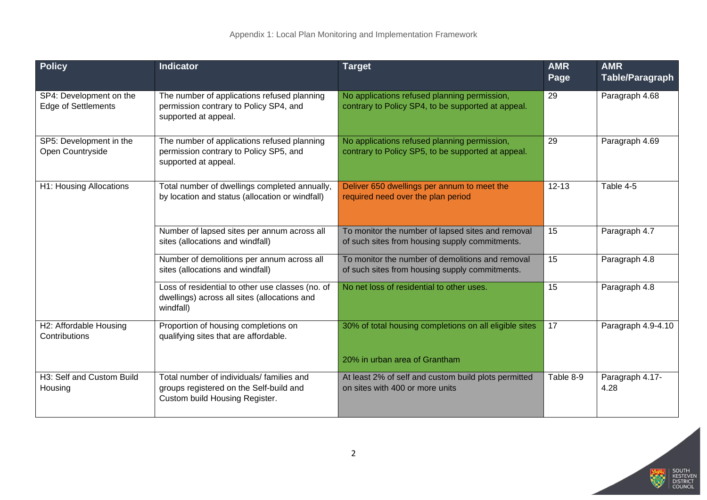| <b>Policy</b>                                         | <b>Indicator</b>                                                                                                       | <b>Target</b>                                                                                       | <b>AMR</b><br>Page | <b>AMR</b><br><b>Table/Paragraph</b> |
|-------------------------------------------------------|------------------------------------------------------------------------------------------------------------------------|-----------------------------------------------------------------------------------------------------|--------------------|--------------------------------------|
| SP4: Development on the<br><b>Edge of Settlements</b> | The number of applications refused planning<br>permission contrary to Policy SP4, and<br>supported at appeal.          | No applications refused planning permission,<br>contrary to Policy SP4, to be supported at appeal.  | 29                 | Paragraph 4.68                       |
| SP5: Development in the<br>Open Countryside           | The number of applications refused planning<br>permission contrary to Policy SP5, and<br>supported at appeal.          | No applications refused planning permission,<br>contrary to Policy SP5, to be supported at appeal.  | 29                 | Paragraph 4.69                       |
| H1: Housing Allocations                               | Total number of dwellings completed annually,<br>by location and status (allocation or windfall)                       | Deliver 650 dwellings per annum to meet the<br>required need over the plan period                   | $12 - 13$          | Table 4-5                            |
|                                                       | Number of lapsed sites per annum across all<br>sites (allocations and windfall)                                        | To monitor the number of lapsed sites and removal<br>of such sites from housing supply commitments. | 15                 | Paragraph 4.7                        |
|                                                       | Number of demolitions per annum across all<br>sites (allocations and windfall)                                         | To monitor the number of demolitions and removal<br>of such sites from housing supply commitments.  | 15                 | Paragraph 4.8                        |
|                                                       | Loss of residential to other use classes (no. of<br>dwellings) across all sites (allocations and<br>windfall)          | No net loss of residential to other uses.                                                           | 15                 | Paragraph 4.8                        |
| H2: Affordable Housing<br>Contributions               | Proportion of housing completions on<br>qualifying sites that are affordable.                                          | 30% of total housing completions on all eligible sites                                              | 17                 | Paragraph 4.9-4.10                   |
|                                                       |                                                                                                                        | 20% in urban area of Grantham                                                                       |                    |                                      |
| H3: Self and Custom Build<br>Housing                  | Total number of individuals/ families and<br>groups registered on the Self-build and<br>Custom build Housing Register. | At least 2% of self and custom build plots permitted<br>on sites with 400 or more units             | Table 8-9          | Paragraph 4.17-<br>4.28              |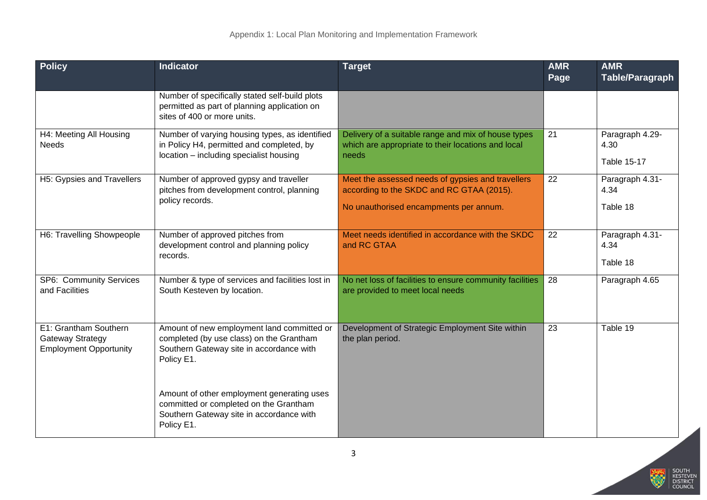| <b>Policy</b>                                                                     | <b>Indicator</b>                                                                                                                                 | <b>Target</b>                                                                                                                            | <b>AMR</b><br>Page | <b>AMR</b><br><b>Table/Paragraph</b>   |
|-----------------------------------------------------------------------------------|--------------------------------------------------------------------------------------------------------------------------------------------------|------------------------------------------------------------------------------------------------------------------------------------------|--------------------|----------------------------------------|
|                                                                                   | Number of specifically stated self-build plots<br>permitted as part of planning application on<br>sites of 400 or more units.                    |                                                                                                                                          |                    |                                        |
| H4: Meeting All Housing<br><b>Needs</b>                                           | Number of varying housing types, as identified<br>in Policy H4, permitted and completed, by<br>location - including specialist housing           | Delivery of a suitable range and mix of house types<br>which are appropriate to their locations and local<br>needs                       | 21                 | Paragraph 4.29-<br>4.30<br>Table 15-17 |
| H5: Gypsies and Travellers                                                        | Number of approved gypsy and traveller<br>pitches from development control, planning<br>policy records.                                          | Meet the assessed needs of gypsies and travellers<br>according to the SKDC and RC GTAA (2015).<br>No unauthorised encampments per annum. | $\overline{22}$    | Paragraph 4.31-<br>4.34<br>Table 18    |
| H6: Travelling Showpeople                                                         | Number of approved pitches from<br>development control and planning policy<br>records.                                                           | Meet needs identified in accordance with the SKDC<br>and RC GTAA                                                                         | 22                 | Paragraph 4.31-<br>4.34<br>Table 18    |
| SP6: Community Services<br>and Facilities                                         | Number & type of services and facilities lost in<br>South Kesteven by location.                                                                  | No net loss of facilities to ensure community facilities<br>are provided to meet local needs                                             | 28                 | Paragraph 4.65                         |
| E1: Grantham Southern<br><b>Gateway Strategy</b><br><b>Employment Opportunity</b> | Amount of new employment land committed or<br>completed (by use class) on the Grantham<br>Southern Gateway site in accordance with<br>Policy E1. | Development of Strategic Employment Site within<br>the plan period.                                                                      | 23                 | Table 19                               |
|                                                                                   | Amount of other employment generating uses<br>committed or completed on the Grantham<br>Southern Gateway site in accordance with<br>Policy E1.   |                                                                                                                                          |                    |                                        |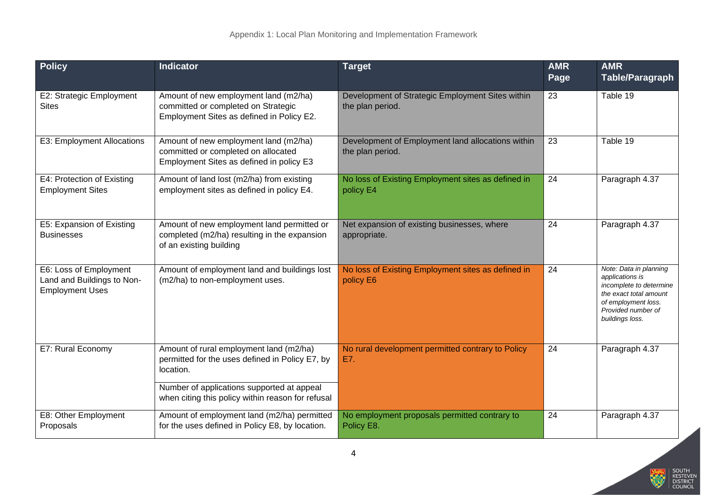| <b>Policy</b>                                                                  | <b>Indicator</b>                                                                                                                                      | <b>Target</b>                                                         | <b>AMR</b><br>Page | <b>AMR</b><br><b>Table/Paragraph</b>                                                                                                                           |
|--------------------------------------------------------------------------------|-------------------------------------------------------------------------------------------------------------------------------------------------------|-----------------------------------------------------------------------|--------------------|----------------------------------------------------------------------------------------------------------------------------------------------------------------|
| E2: Strategic Employment<br><b>Sites</b>                                       | Amount of new employment land (m2/ha)<br>committed or completed on Strategic<br>Employment Sites as defined in Policy E2.                             | Development of Strategic Employment Sites within<br>the plan period.  | 23                 | Table 19                                                                                                                                                       |
| E3: Employment Allocations                                                     | Amount of new employment land (m2/ha)<br>committed or completed on allocated<br>Employment Sites as defined in policy E3                              | Development of Employment land allocations within<br>the plan period. | $\overline{23}$    | Table 19                                                                                                                                                       |
| E4: Protection of Existing<br><b>Employment Sites</b>                          | Amount of land lost (m2/ha) from existing<br>employment sites as defined in policy E4.                                                                | No loss of Existing Employment sites as defined in<br>policy E4       | $\overline{24}$    | Paragraph 4.37                                                                                                                                                 |
| E5: Expansion of Existing<br><b>Businesses</b>                                 | Amount of new employment land permitted or<br>completed (m2/ha) resulting in the expansion<br>of an existing building                                 | Net expansion of existing businesses, where<br>appropriate.           | 24                 | Paragraph 4.37                                                                                                                                                 |
| E6: Loss of Employment<br>Land and Buildings to Non-<br><b>Employment Uses</b> | Amount of employment land and buildings lost<br>(m2/ha) to non-employment uses.                                                                       | No loss of Existing Employment sites as defined in<br>policy E6       | 24                 | Note: Data in planning<br>applications is<br>incomplete to determine<br>the exact total amount<br>of employment loss.<br>Provided number of<br>buildings loss. |
| E7: Rural Economy                                                              | Amount of rural employment land (m2/ha)<br>permitted for the uses defined in Policy E7, by<br>location.<br>Number of applications supported at appeal | No rural development permitted contrary to Policy<br>E7.              | 24                 | Paragraph 4.37                                                                                                                                                 |
|                                                                                | when citing this policy within reason for refusal                                                                                                     |                                                                       |                    |                                                                                                                                                                |
| E8: Other Employment<br>Proposals                                              | Amount of employment land (m2/ha) permitted<br>for the uses defined in Policy E8, by location.                                                        | No employment proposals permitted contrary to<br>Policy E8.           | 24                 | Paragraph 4.37                                                                                                                                                 |

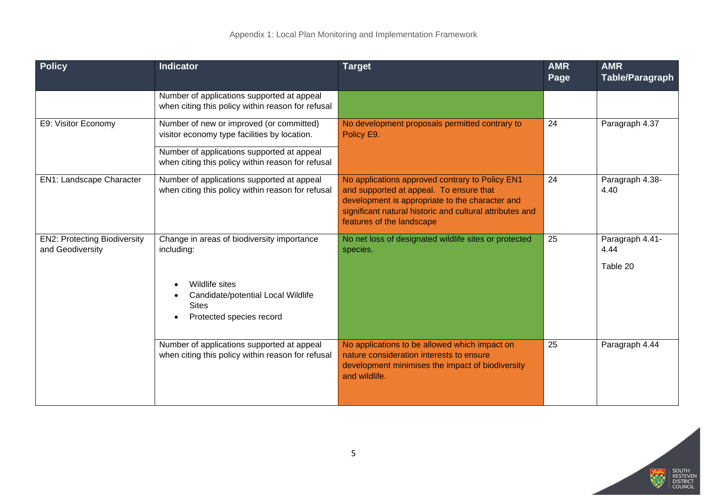| <b>Policy</b>                                           | <b>Indicator</b>                                                                                 | <b>Target</b>                                                                                                                                                                                                                          | <b>AMR</b><br>Page | <b>AMR</b><br>Table/Paragraph       |
|---------------------------------------------------------|--------------------------------------------------------------------------------------------------|----------------------------------------------------------------------------------------------------------------------------------------------------------------------------------------------------------------------------------------|--------------------|-------------------------------------|
|                                                         | Number of applications supported at appeal<br>when citing this policy within reason for refusal  |                                                                                                                                                                                                                                        |                    |                                     |
| E9: Visitor Economy                                     | Number of new or improved (or committed)<br>visitor economy type facilities by location.         | No development proposals permitted contrary to<br>Policy E9.                                                                                                                                                                           | 24                 | Paragraph 4.37                      |
|                                                         | Number of applications supported at appeal<br>when citing this policy within reason for refusal  |                                                                                                                                                                                                                                        |                    |                                     |
| <b>EN1: Landscape Character</b>                         | Number of applications supported at appeal<br>when citing this policy within reason for refusal  | No applications approved contrary to Policy EN1<br>and supported at appeal. To ensure that<br>development is appropriate to the character and<br>significant natural historic and cultural attributes and<br>features of the landscape | 24                 | Paragraph 4.38-<br>4.40             |
| <b>EN2: Protecting Biodiversity</b><br>and Geodiversity | Change in areas of biodiversity importance<br>including:                                         | No net loss of designated wildlife sites or protected<br>species.                                                                                                                                                                      | 25                 | Paragraph 4.41-<br>4.44<br>Table 20 |
|                                                         | Wildlife sites<br>Candidate/potential Local Wildlife<br><b>Sites</b><br>Protected species record |                                                                                                                                                                                                                                        |                    |                                     |
|                                                         | Number of applications supported at appeal<br>when citing this policy within reason for refusal  | No applications to be allowed which impact on<br>nature consideration interests to ensure<br>development minimises the impact of biodiversity<br>and wildlife.                                                                         | 25                 | Paragraph 4.44                      |

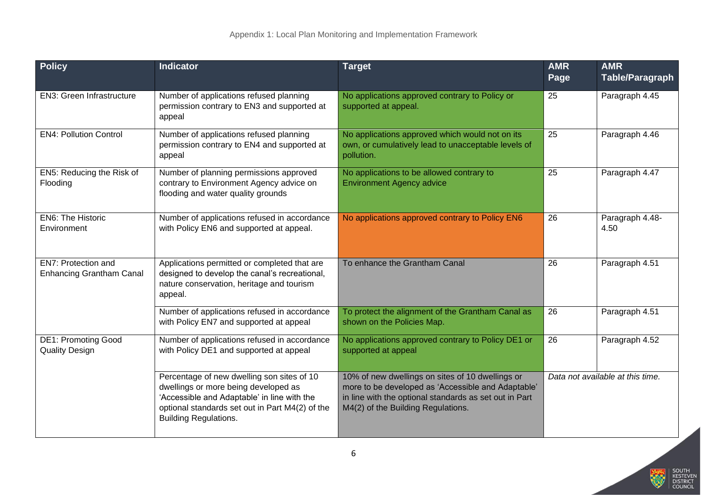| <b>Policy</b>                                          | <b>Indicator</b>                                                                                                                                                                                                     | <b>Target</b>                                                                                                                                                                                          | <b>AMR</b><br>Page | <b>AMR</b><br><b>Table/Paragraph</b> |
|--------------------------------------------------------|----------------------------------------------------------------------------------------------------------------------------------------------------------------------------------------------------------------------|--------------------------------------------------------------------------------------------------------------------------------------------------------------------------------------------------------|--------------------|--------------------------------------|
| <b>EN3: Green Infrastructure</b>                       | Number of applications refused planning<br>permission contrary to EN3 and supported at<br>appeal                                                                                                                     | No applications approved contrary to Policy or<br>supported at appeal.                                                                                                                                 | 25                 | Paragraph 4.45                       |
| <b>EN4: Pollution Control</b>                          | Number of applications refused planning<br>permission contrary to EN4 and supported at<br>appeal                                                                                                                     | No applications approved which would not on its<br>own, or cumulatively lead to unacceptable levels of<br>pollution.                                                                                   | 25                 | Paragraph 4.46                       |
| EN5: Reducing the Risk of<br>Flooding                  | Number of planning permissions approved<br>contrary to Environment Agency advice on<br>flooding and water quality grounds                                                                                            | No applications to be allowed contrary to<br><b>Environment Agency advice</b>                                                                                                                          | 25                 | Paragraph 4.47                       |
| <b>EN6: The Historic</b><br>Environment                | Number of applications refused in accordance<br>with Policy EN6 and supported at appeal.                                                                                                                             | No applications approved contrary to Policy EN6                                                                                                                                                        | 26                 | Paragraph 4.48-<br>4.50              |
| EN7: Protection and<br><b>Enhancing Grantham Canal</b> | Applications permitted or completed that are<br>designed to develop the canal's recreational,<br>nature conservation, heritage and tourism<br>appeal.                                                                | To enhance the Grantham Canal                                                                                                                                                                          | 26                 | Paragraph 4.51                       |
|                                                        | Number of applications refused in accordance<br>with Policy EN7 and supported at appeal                                                                                                                              | To protect the alignment of the Grantham Canal as<br>shown on the Policies Map.                                                                                                                        | 26                 | Paragraph 4.51                       |
| <b>DE1: Promoting Good</b><br><b>Quality Design</b>    | Number of applications refused in accordance<br>with Policy DE1 and supported at appeal                                                                                                                              | No applications approved contrary to Policy DE1 or<br>supported at appeal                                                                                                                              | 26                 | Paragraph 4.52                       |
|                                                        | Percentage of new dwelling son sites of 10<br>dwellings or more being developed as<br>'Accessible and Adaptable' in line with the<br>optional standards set out in Part M4(2) of the<br><b>Building Regulations.</b> | 10% of new dwellings on sites of 10 dwellings or<br>more to be developed as 'Accessible and Adaptable'<br>in line with the optional standards as set out in Part<br>M4(2) of the Building Regulations. |                    | Data not available at this time.     |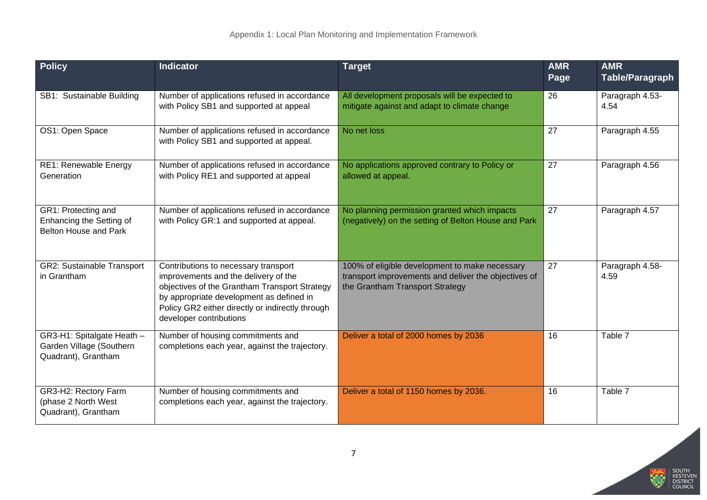| <b>Policy</b>                                                                 | <b>Indicator</b>                                                                                                                                                                                                                                         | <b>Target</b>                                                                                                                             | <b>AMR</b><br>Page | <b>AMR</b><br><b>Table/Paragraph</b> |
|-------------------------------------------------------------------------------|----------------------------------------------------------------------------------------------------------------------------------------------------------------------------------------------------------------------------------------------------------|-------------------------------------------------------------------------------------------------------------------------------------------|--------------------|--------------------------------------|
| SB1: Sustainable Building                                                     | Number of applications refused in accordance<br>with Policy SB1 and supported at appeal                                                                                                                                                                  | All development proposals will be expected to<br>mitigate against and adapt to climate change                                             | 26                 | Paragraph 4.53-<br>4.54              |
| OS1: Open Space                                                               | Number of applications refused in accordance<br>with Policy SB1 and supported at appeal.                                                                                                                                                                 | No net loss                                                                                                                               | 27                 | Paragraph 4.55                       |
| RE1: Renewable Energy<br>Generation                                           | Number of applications refused in accordance<br>with Policy RE1 and supported at appeal                                                                                                                                                                  | No applications approved contrary to Policy or<br>allowed at appeal.                                                                      | 27                 | Paragraph 4.56                       |
| GR1: Protecting and<br>Enhancing the Setting of<br>Belton House and Park      | Number of applications refused in accordance<br>with Policy GR:1 and supported at appeal.                                                                                                                                                                | No planning permission granted which impacts<br>(negatively) on the setting of Belton House and Park                                      | 27                 | Paragraph 4.57                       |
| <b>GR2: Sustainable Transport</b><br>in Grantham                              | Contributions to necessary transport<br>improvements and the delivery of the<br>objectives of the Grantham Transport Strategy<br>by appropriate development as defined in<br>Policy GR2 either directly or indirectly through<br>developer contributions | 100% of eligible development to make necessary<br>transport improvements and deliver the objectives of<br>the Grantham Transport Strategy | 27                 | Paragraph 4.58-<br>4.59              |
| GR3-H1: Spitalgate Heath -<br>Garden Village (Southern<br>Quadrant), Grantham | Number of housing commitments and<br>completions each year, against the trajectory.                                                                                                                                                                      | Deliver a total of 2000 homes by 2036                                                                                                     | 16                 | Table 7                              |
| GR3-H2: Rectory Farm<br>(phase 2 North West<br>Quadrant), Grantham            | Number of housing commitments and<br>completions each year, against the trajectory.                                                                                                                                                                      | Deliver a total of 1150 homes by 2036.                                                                                                    | 16                 | Table 7                              |

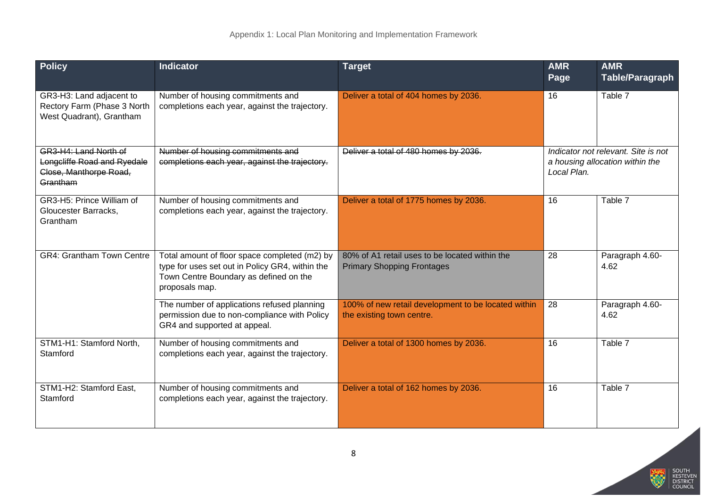| <b>Policy</b>                                                                              | <b>Indicator</b>                                                                                                                                             | <b>Target</b>                                                                       | <b>AMR</b><br>Page | <b>AMR</b><br><b>Table/Paragraph</b>                                   |
|--------------------------------------------------------------------------------------------|--------------------------------------------------------------------------------------------------------------------------------------------------------------|-------------------------------------------------------------------------------------|--------------------|------------------------------------------------------------------------|
| GR3-H3: Land adjacent to<br>Rectory Farm (Phase 3 North<br>West Quadrant), Grantham        | Number of housing commitments and<br>completions each year, against the trajectory.                                                                          | Deliver a total of 404 homes by 2036.                                               | 16                 | Table 7                                                                |
| GR3-H4: Land North of<br>Longcliffe Road and Ryedale<br>Close, Manthorpe Road,<br>Grantham | Number of housing commitments and<br>completions each year, against the trajectory.                                                                          | Deliver a total of 480 homes by 2036.                                               | Local Plan.        | Indicator not relevant. Site is not<br>a housing allocation within the |
| GR3-H5: Prince William of<br>Gloucester Barracks,<br>Grantham                              | Number of housing commitments and<br>completions each year, against the trajectory.                                                                          | Deliver a total of 1775 homes by 2036.                                              | 16                 | Table 7                                                                |
| <b>GR4: Grantham Town Centre</b>                                                           | Total amount of floor space completed (m2) by<br>type for uses set out in Policy GR4, within the<br>Town Centre Boundary as defined on the<br>proposals map. | 80% of A1 retail uses to be located within the<br><b>Primary Shopping Frontages</b> | 28                 | Paragraph 4.60-<br>4.62                                                |
|                                                                                            | The number of applications refused planning<br>permission due to non-compliance with Policy<br>GR4 and supported at appeal.                                  | 100% of new retail development to be located within<br>the existing town centre.    | 28                 | Paragraph 4.60-<br>4.62                                                |
| STM1-H1: Stamford North,<br>Stamford                                                       | Number of housing commitments and<br>completions each year, against the trajectory.                                                                          | Deliver a total of 1300 homes by 2036.                                              | 16                 | Table 7                                                                |
| STM1-H2: Stamford East,<br>Stamford                                                        | Number of housing commitments and<br>completions each year, against the trajectory.                                                                          | Deliver a total of 162 homes by 2036.                                               | 16                 | Table 7                                                                |

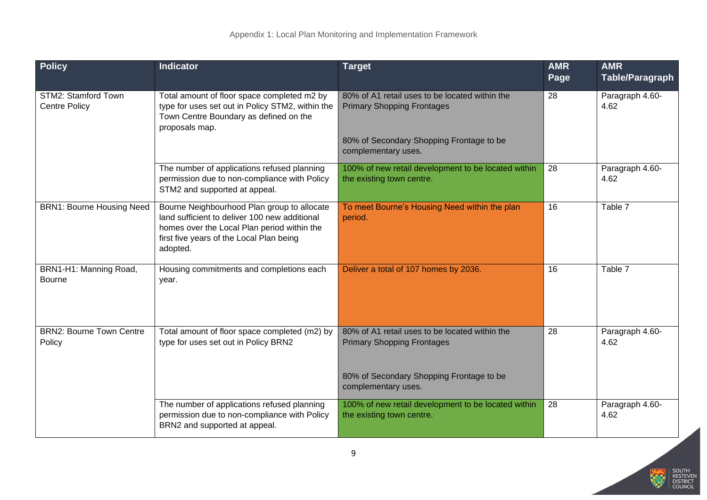| <b>Policy</b>                               | <b>Indicator</b>                                                                                                                                                                                    | <b>Target</b>                                                                                                                                          | <b>AMR</b><br>Page | <b>AMR</b><br><b>Table/Paragraph</b> |
|---------------------------------------------|-----------------------------------------------------------------------------------------------------------------------------------------------------------------------------------------------------|--------------------------------------------------------------------------------------------------------------------------------------------------------|--------------------|--------------------------------------|
| STM2: Stamford Town<br><b>Centre Policy</b> | Total amount of floor space completed m2 by<br>type for uses set out in Policy STM2, within the<br>Town Centre Boundary as defined on the<br>proposals map.                                         | 80% of A1 retail uses to be located within the<br><b>Primary Shopping Frontages</b><br>80% of Secondary Shopping Frontage to be<br>complementary uses. | 28                 | Paragraph 4.60-<br>4.62              |
|                                             | The number of applications refused planning<br>permission due to non-compliance with Policy<br>STM2 and supported at appeal.                                                                        | 100% of new retail development to be located within<br>the existing town centre.                                                                       | 28                 | Paragraph 4.60-<br>4.62              |
| <b>BRN1: Bourne Housing Need</b>            | Bourne Neighbourhood Plan group to allocate<br>land sufficient to deliver 100 new additional<br>homes over the Local Plan period within the<br>first five years of the Local Plan being<br>adopted. | To meet Bourne's Housing Need within the plan<br>period.                                                                                               | 16                 | Table 7                              |
| BRN1-H1: Manning Road,<br>Bourne            | Housing commitments and completions each<br>year.                                                                                                                                                   | Deliver a total of 107 homes by 2036.                                                                                                                  | 16                 | Table 7                              |
| <b>BRN2: Bourne Town Centre</b><br>Policy   | Total amount of floor space completed (m2) by<br>type for uses set out in Policy BRN2                                                                                                               | 80% of A1 retail uses to be located within the<br><b>Primary Shopping Frontages</b><br>80% of Secondary Shopping Frontage to be<br>complementary uses. | 28                 | Paragraph 4.60-<br>4.62              |
|                                             | The number of applications refused planning<br>permission due to non-compliance with Policy<br>BRN2 and supported at appeal.                                                                        | 100% of new retail development to be located within<br>the existing town centre.                                                                       | 28                 | Paragraph 4.60-<br>4.62              |

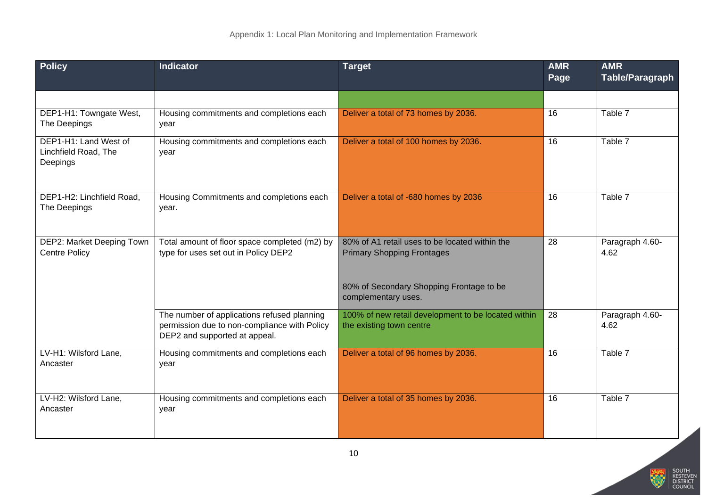| <b>Policy</b>                                             | <b>Indicator</b>                                                                                                             | <b>Target</b>                                                                                                                   | <b>AMR</b><br>Page | <b>AMR</b><br><b>Table/Paragraph</b> |
|-----------------------------------------------------------|------------------------------------------------------------------------------------------------------------------------------|---------------------------------------------------------------------------------------------------------------------------------|--------------------|--------------------------------------|
|                                                           |                                                                                                                              |                                                                                                                                 |                    |                                      |
| DEP1-H1: Towngate West,<br>The Deepings                   | Housing commitments and completions each<br>year                                                                             | Deliver a total of 73 homes by 2036.                                                                                            | 16                 | Table 7                              |
| DEP1-H1: Land West of<br>Linchfield Road, The<br>Deepings | Housing commitments and completions each<br>year                                                                             | Deliver a total of 100 homes by 2036.                                                                                           | $\overline{16}$    | Table 7                              |
| DEP1-H2: Linchfield Road,<br>The Deepings                 | Housing Commitments and completions each<br>year.                                                                            | Deliver a total of -680 homes by 2036                                                                                           | 16                 | Table 7                              |
| <b>DEP2: Market Deeping Town</b><br><b>Centre Policy</b>  | Total amount of floor space completed (m2) by<br>type for uses set out in Policy DEP2                                        | 80% of A1 retail uses to be located within the<br><b>Primary Shopping Frontages</b><br>80% of Secondary Shopping Frontage to be | $\overline{28}$    | Paragraph 4.60-<br>4.62              |
|                                                           |                                                                                                                              | complementary uses.                                                                                                             |                    |                                      |
|                                                           | The number of applications refused planning<br>permission due to non-compliance with Policy<br>DEP2 and supported at appeal. | 100% of new retail development to be located within<br>the existing town centre                                                 | 28                 | Paragraph 4.60-<br>4.62              |
| LV-H1: Wilsford Lane,<br>Ancaster                         | Housing commitments and completions each<br>year                                                                             | Deliver a total of 96 homes by 2036.                                                                                            | 16                 | Table 7                              |
| LV-H2: Wilsford Lane,<br>Ancaster                         | Housing commitments and completions each<br>year                                                                             | Deliver a total of 35 homes by 2036.                                                                                            | 16                 | Table 7                              |

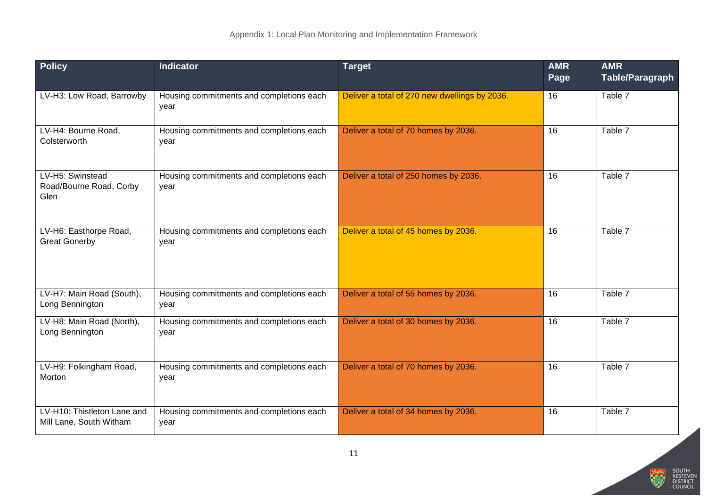| <b>Policy</b>                                          | <b>Indicator</b>                                 | <b>Target</b>                                 | <b>AMR</b><br>Page | <b>AMR</b><br><b>Table/Paragraph</b> |
|--------------------------------------------------------|--------------------------------------------------|-----------------------------------------------|--------------------|--------------------------------------|
| LV-H3: Low Road, Barrowby                              | Housing commitments and completions each<br>year | Deliver a total of 270 new dwellings by 2036. | 16                 | Table 7                              |
| LV-H4: Bourne Road,<br>Colsterworth                    | Housing commitments and completions each<br>year | Deliver a total of 70 homes by 2036.          | 16                 | Table 7                              |
| LV-H5: Swinstead<br>Road/Bourne Road, Corby<br>Glen    | Housing commitments and completions each<br>year | Deliver a total of 250 homes by 2036.         | 16                 | Table 7                              |
| LV-H6: Easthorpe Road,<br><b>Great Gonerby</b>         | Housing commitments and completions each<br>year | Deliver a total of 45 homes by 2036.          | 16                 | Table 7                              |
| LV-H7: Main Road (South),<br>Long Bennington           | Housing commitments and completions each<br>year | Deliver a total of 55 homes by 2036.          | 16                 | Table 7                              |
| LV-H8: Main Road (North),<br>Long Bennington           | Housing commitments and completions each<br>year | Deliver a total of 30 homes by 2036.          | 16                 | Table 7                              |
| LV-H9: Folkingham Road,<br>Morton                      | Housing commitments and completions each<br>year | Deliver a total of 70 homes by 2036.          | 16                 | Table 7                              |
| LV-H10: Thistleton Lane and<br>Mill Lane, South Witham | Housing commitments and completions each<br>year | Deliver a total of 34 homes by 2036.          | 16                 | Table 7                              |